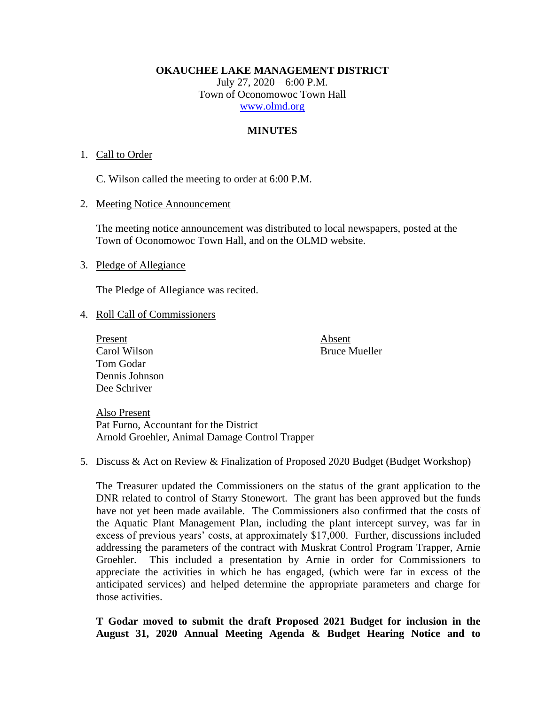**OKAUCHEE LAKE MANAGEMENT DISTRICT**

July 27,  $2020 - 6:00$  P.M. Town of Oconomowoc Town Hall [www.olmd.org](http://www.olmd.org/)

# **MINUTES**

### 1. Call to Order

C. Wilson called the meeting to order at 6:00 P.M.

#### 2. Meeting Notice Announcement

The meeting notice announcement was distributed to local newspapers, posted at the Town of Oconomowoc Town Hall, and on the OLMD website.

#### 3. Pledge of Allegiance

The Pledge of Allegiance was recited.

#### 4. Roll Call of Commissioners

Present Absent Carol Wilson Bruce Mueller Tom Godar Dennis Johnson Dee Schriver

Also Present Pat Furno, Accountant for the District Arnold Groehler, Animal Damage Control Trapper

5. Discuss & Act on Review & Finalization of Proposed 2020 Budget (Budget Workshop)

The Treasurer updated the Commissioners on the status of the grant application to the DNR related to control of Starry Stonewort. The grant has been approved but the funds have not yet been made available. The Commissioners also confirmed that the costs of the Aquatic Plant Management Plan, including the plant intercept survey, was far in excess of previous years' costs, at approximately \$17,000. Further, discussions included addressing the parameters of the contract with Muskrat Control Program Trapper, Arnie Groehler. This included a presentation by Arnie in order for Commissioners to appreciate the activities in which he has engaged, (which were far in excess of the anticipated services) and helped determine the appropriate parameters and charge for those activities.

**T Godar moved to submit the draft Proposed 2021 Budget for inclusion in the August 31, 2020 Annual Meeting Agenda & Budget Hearing Notice and to**